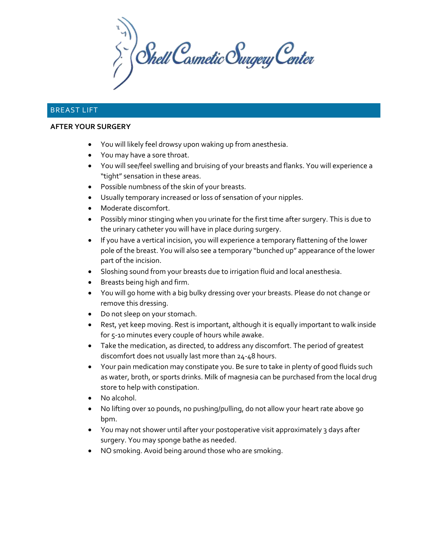$\sum_{i}^{n}$  Shell Cosmetic Surgery Center

# BREAST LIFT

#### **AFTER YOUR SURGERY**

- You will likely feel drowsy upon waking up from anesthesia.
- You may have a sore throat.
- You will see/feel swelling and bruising of your breasts and flanks. You will experience a "tight" sensation in these areas.
- Possible numbness of the skin of your breasts.
- Usually temporary increased or loss of sensation of your nipples.
- Moderate discomfort.
- Possibly minor stinging when you urinate for the first time after surgery. This is due to the urinary catheter you will have in place during surgery.
- If you have a vertical incision, you will experience a temporary flattening of the lower pole of the breast. You will also see a temporary "bunched up" appearance of the lower part of the incision.
- Sloshing sound from your breasts due to irrigation fluid and local anesthesia.
- Breasts being high and firm.
- You will go home with a big bulky dressing over your breasts. Please do not change or remove this dressing.
- Do not sleep on your stomach.
- Rest, yet keep moving. Rest is important, although it is equally important to walk inside for 5-10 minutes every couple of hours while awake.
- Take the medication, as directed, to address any discomfort. The period of greatest discomfort does not usually last more than 24-48 hours.
- Your pain medication may constipate you. Be sure to take in plenty of good fluids such as water, broth, or sports drinks. Milk of magnesia can be purchased from the local drug store to help with constipation.
- No alcohol.
- No lifting over 10 pounds, no pushing/pulling, do not allow your heart rate above 90 bpm.
- You may not shower until after your postoperative visit approximately 3 days after surgery. You may sponge bathe as needed.
- NO smoking. Avoid being around those who are smoking.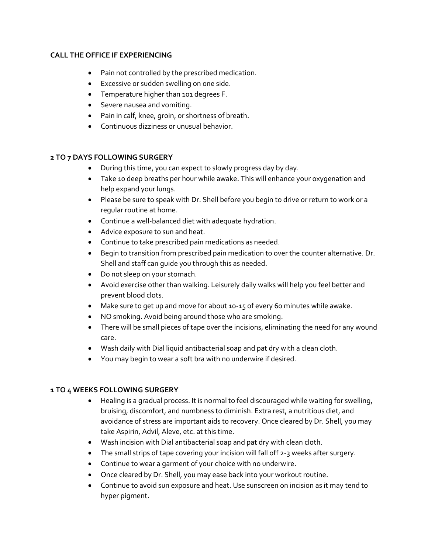#### **CALL THE OFFICE IF EXPERIENCING**

- Pain not controlled by the prescribed medication.
- Excessive or sudden swelling on one side.
- Temperature higher than 101 degrees F.
- Severe nausea and vomiting.
- Pain in calf, knee, groin, or shortness of breath.
- Continuous dizziness or unusual behavior.

## **2 TO 7 DAYS FOLLOWING SURGERY**

- During this time, you can expect to slowly progress day by day.
- Take 10 deep breaths per hour while awake. This will enhance your oxygenation and help expand your lungs.
- Please be sure to speak with Dr. Shell before you begin to drive or return to work or a regular routine at home.
- Continue a well-balanced diet with adequate hydration.
- Advice exposure to sun and heat.
- Continue to take prescribed pain medications as needed.
- Begin to transition from prescribed pain medication to over the counter alternative. Dr. Shell and staff can guide you through this as needed.
- Do not sleep on your stomach.
- Avoid exercise other than walking. Leisurely daily walks will help you feel better and prevent blood clots.
- Make sure to get up and move for about 10-15 of every 60 minutes while awake.
- NO smoking. Avoid being around those who are smoking.
- There will be small pieces of tape over the incisions, eliminating the need for any wound care.
- Wash daily with Dial liquid antibacterial soap and pat dry with a clean cloth.
- You may begin to wear a soft bra with no underwire if desired.

### **1 TO 4 WEEKS FOLLOWING SURGERY**

- Healing is a gradual process. It is normal to feel discouraged while waiting for swelling, bruising, discomfort, and numbness to diminish. Extra rest, a nutritious diet, and avoidance of stress are important aids to recovery. Once cleared by Dr. Shell, you may take Aspirin, Advil, Aleve, etc. at this time.
- Wash incision with Dial antibacterial soap and pat dry with clean cloth.
- The small strips of tape covering your incision will fall off 2-3 weeks after surgery.
- Continue to wear a garment of your choice with no underwire.
- Once cleared by Dr. Shell, you may ease back into your workout routine.
- Continue to avoid sun exposure and heat. Use sunscreen on incision as it may tend to hyper pigment.